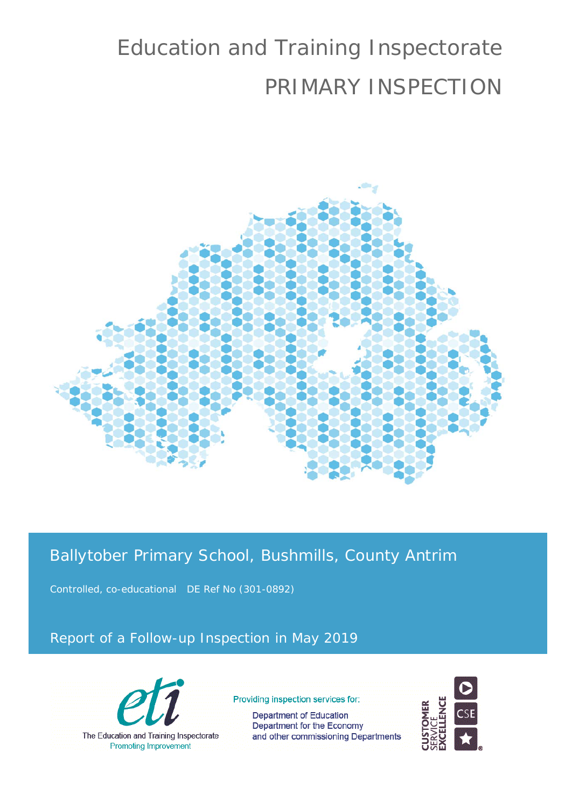# Education and Training Inspectorate PRIMARY INSPECTION



## Ballytober Primary School, Bushmills, County Antrim

Controlled, co-educational DE Ref No (301-0892)

### Report of a Follow-up Inspection in May 2019



Providing inspection services for:

Department of Education Department for the Economy and other commissioning Departments

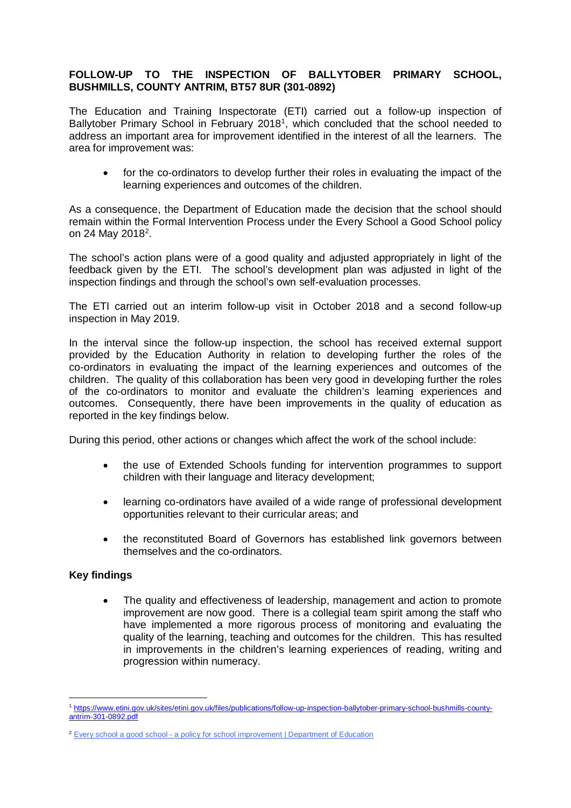#### **FOLLOW-UP TO THE INSPECTION OF BALLYTOBER PRIMARY SCHOOL, BUSHMILLS, COUNTY ANTRIM, BT57 8UR (301-0892)**

The Education and Training Inspectorate (ETI) carried out a follow-up inspection of Ballytober Primary School in February 20[1](#page-1-0)8<sup>1</sup>, which concluded that the school needed to address an important area for improvement identified in the interest of all the learners. The area for improvement was:

• for the co-ordinators to develop further their roles in evaluating the impact of the learning experiences and outcomes of the children.

As a consequence, the Department of Education made the decision that the school should remain within the Formal Intervention Process under the Every School a Good School policy on 24 May 2018<sup>2</sup>.

The school's action plans were of a good quality and adjusted appropriately in light of the feedback given by the ETI. The school's development plan was adjusted in light of the inspection findings and through the school's own self-evaluation processes.

The ETI carried out an interim follow-up visit in October 2018 and a second follow-up inspection in May 2019.

In the interval since the follow-up inspection, the school has received external support provided by the Education Authority in relation to developing further the roles of the co-ordinators in evaluating the impact of the learning experiences and outcomes of the children. The quality of this collaboration has been very good in developing further the roles of the co-ordinators to monitor and evaluate the children's learning experiences and outcomes. Consequently, there have been improvements in the quality of education as reported in the key findings below.

During this period, other actions or changes which affect the work of the school include:

- the use of Extended Schools funding for intervention programmes to support children with their language and literacy development;
- learning co-ordinators have availed of a wide range of professional development opportunities relevant to their curricular areas; and
- the reconstituted Board of Governors has established link governors between themselves and the co-ordinators.

#### **Key findings**

<u>.</u>

• The quality and effectiveness of leadership, management and action to promote improvement are now good. There is a collegial team spirit among the staff who have implemented a more rigorous process of monitoring and evaluating the quality of the learning, teaching and outcomes for the children. This has resulted in improvements in the children's learning experiences of reading, writing and progression within numeracy.

<span id="page-1-0"></span><sup>1</sup> [https://www.etini.gov.uk/sites/etini.gov.uk/files/publications/follow-up-inspection-ballytober-primary-school-bushmills-county](https://www.etini.gov.uk/sites/etini.gov.uk/files/publications/follow-up-inspection-ballytober-primary-school-bushmills-county-antrim-301-0892.pdf)[antrim-301-0892.pdf](https://www.etini.gov.uk/sites/etini.gov.uk/files/publications/follow-up-inspection-ballytober-primary-school-bushmills-county-antrim-301-0892.pdf)

<span id="page-1-1"></span><sup>&</sup>lt;sup>2</sup> Every school a good school - [a policy for school improvement | Department of Education](https://www.education-ni.gov.uk/publications/every-school-good-school-policy-school-improvement)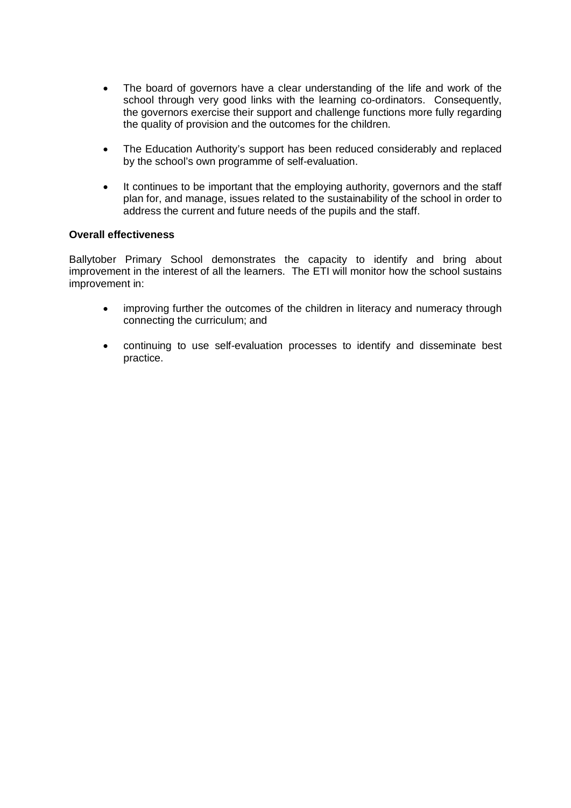- The board of governors have a clear understanding of the life and work of the school through very good links with the learning co-ordinators. Consequently, the governors exercise their support and challenge functions more fully regarding the quality of provision and the outcomes for the children.
- The Education Authority's support has been reduced considerably and replaced by the school's own programme of self-evaluation.
- It continues to be important that the employing authority, governors and the staff plan for, and manage, issues related to the sustainability of the school in order to address the current and future needs of the pupils and the staff.

#### **Overall effectiveness**

Ballytober Primary School demonstrates the capacity to identify and bring about improvement in the interest of all the learners. The ETI will monitor how the school sustains improvement in:

- improving further the outcomes of the children in literacy and numeracy through connecting the curriculum; and
- continuing to use self-evaluation processes to identify and disseminate best practice.